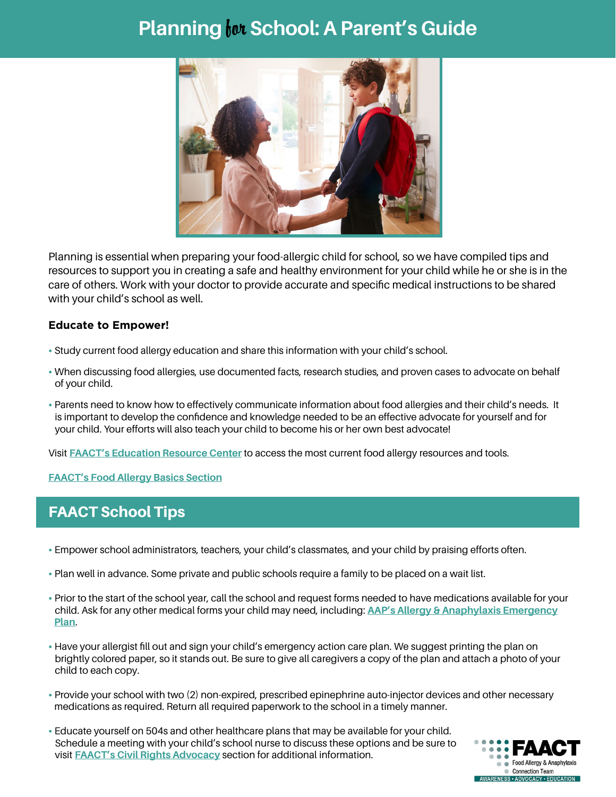# **Planning** for **School: A Parent's Guide**



Planning is essential when preparing your food-allergic child for school, so we have compiled tips and resources to support you in creating a safe and healthy environment for your child while he or she is in the care of others. Work with your doctor to provide accurate and specific medical instructions to be shared with your child's school as well.

#### **Educate to Empower!**

- Study current food allergy education and share this information with your child's school.
- When discussing food allergies, use documented facts, research studies, and proven cases to advocate on behalf of your child.
- Parents need to know how to effectively communicate information about food allergies and their child's needs. It is important to develop the confidence and knowledge needed to be an effective advocate for yourself and for your child. Your efforts will also teach your child to become his or her own best advocate!

Visit **FAACT's Education Resource Center** to access the most current food allergy resources and tools.

#### **FAACT's Food Allergy Basics Section**

#### FAACT School Tips

- Empower school administrators, teachers, your child's classmates, and your child by praising efforts often.
- Plan well in advance. Some private and public schools require a family to be placed on a wait list.
- Prior to the start of the school year, call the school and request forms needed to have medications available for your child. Ask for any other medical forms your child may need, including: **AAP's Allergy & Anaphylaxis Emergency Plan**.
- Have your allergist fill out and sign your child's emergency action care plan. We suggest printing the plan on brightly colored paper, so it stands out. Be sure to give all caregivers a copy of the plan and attach a photo of your child to each copy.
- Provide your school with two (2) non-expired, prescribed epinephrine auto-injector devices and other necessary medications as required. Return all required paperwork to the school in a timely manner.
- Educate yourself on 504s and other healthcare plans that may be available for your child. Schedule a meeting with your child's school nurse to discuss these options and be sure to visit **FAACT's Civil Rights Advocacy** section for additional information.

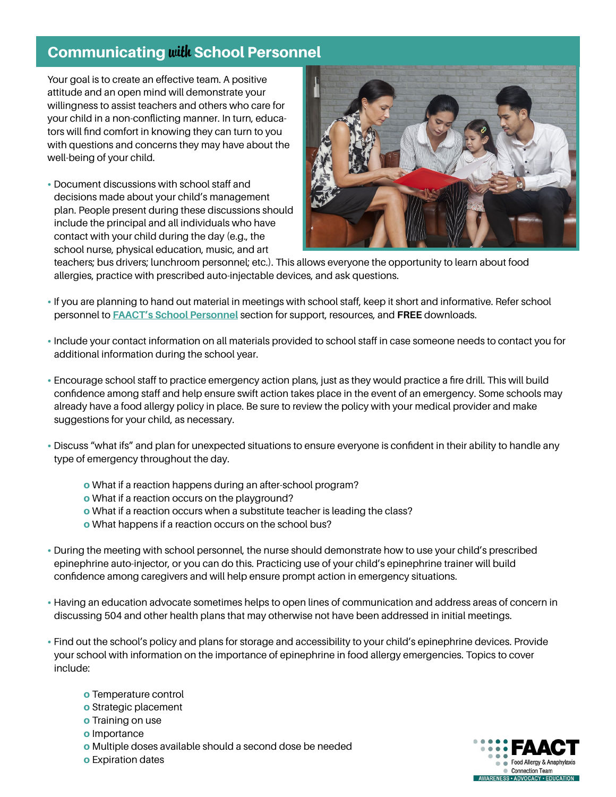## Communicating with School Personnel

Your goal is to create an effective team. A positive attitude and an open mind will demonstrate your willingness to assist teachers and others who care for your child in a non-conflicting manner. In turn, educators will find comfort in knowing they can turn to you with questions and concerns they may have about the well-being of your child.

• Document discussions with school staff and decisions made about your child's management plan. People present during these discussions should include the principal and all individuals who have contact with your child during the day (e.g., the school nurse, physical education, music, and art



 teachers; bus drivers; lunchroom personnel; etc.). This allows everyone the opportunity to learn about food allergies, practice with prescribed auto-injectable devices, and ask questions.

- If you are planning to hand out material in meetings with school staff, keep it short and informative. Refer school personnel to **FAACT's School Personnel** section for support, resources, and **FREE** downloads.
- Include your contact information on all materials provided to school staff in case someone needs to contact you for additional information during the school year.
- Encourage school staff to practice emergency action plans, just as they would practice a fire drill. This will build confidence among staff and help ensure swift action takes place in the event of an emergency. Some schools may already have a food allergy policy in place. Be sure to review the policy with your medical provider and make suggestions for your child, as necessary.
- Discuss "what ifs" and plan for unexpected situations to ensure everyone is confident in their ability to handle any type of emergency throughout the day.
	- o What if a reaction happens during an after-school program?
	- o What if a reaction occurs on the playground?
	- o What if a reaction occurs when a substitute teacher is leading the class?
	- o What happens if a reaction occurs on the school bus?
- During the meeting with school personnel, the nurse should demonstrate how to use your child's prescribed epinephrine auto-injector, or you can do this. Practicing use of your child's epinephrine trainer will build confidence among caregivers and will help ensure prompt action in emergency situations.
- Having an education advocate sometimes helps to open lines of communication and address areas of concern in discussing 504 and other health plans that may otherwise not have been addressed in initial meetings.
- Find out the school's policy and plans for storage and accessibility to your child's epinephrine devices. Provide your school with information on the importance of epinephrine in food allergy emergencies. Topics to cover include:
	- o Temperature control
	- o Strategic placement
	- o Training on use
	- o Importance
	- o Multiple doses available should a second dose be needed
	- o Expiration dates

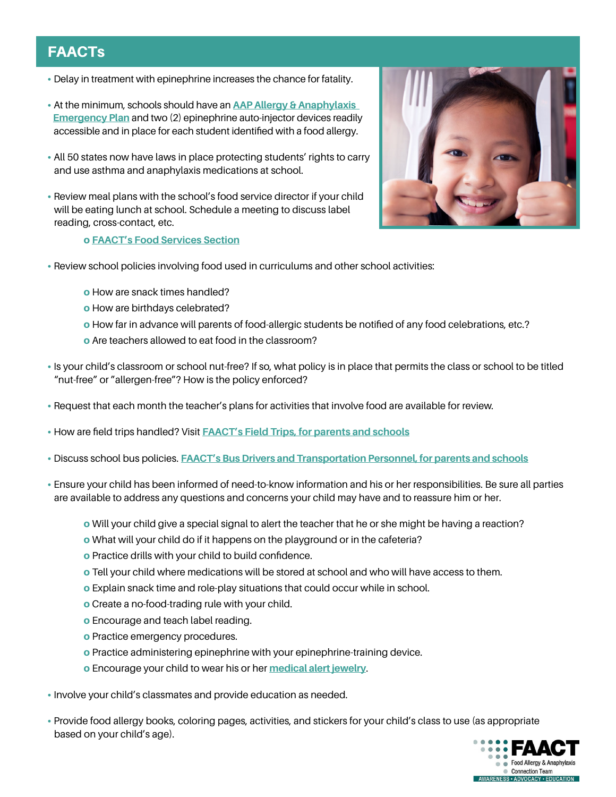### FAACTs

- Delay in treatment with epinephrine increases the chance for fatality.
- At the minimum, schools should have an **AAP Allergy & Anaphylaxis Emergency Plan** and two (2) epinephrine auto-injector devices readily accessible and in place for each student identified with a food allergy.
- All 50 states now have laws in place protecting students' rights to carry and use asthma and anaphylaxis medications at school.
- Review meal plans with the school's food service director if your child will be eating lunch at school. Schedule a meeting to discuss label reading, cross-contact, etc.



#### o **FAACT's Food Services Section**

- Review school policies involving food used in curriculums and other school activities:
	- o How are snack times handled?
	- o How are birthdays celebrated?
	- o How far in advance will parents of food-allergic students be notified of any food celebrations, etc.?
	- o Are teachers allowed to eat food in the classroom?
- Is your child's classroom or school nut-free? If so, what policy is in place that permits the class or school to be titled "nut-free" or "allergen-free"? How is the policy enforced?
- Request that each month the teacher's plans for activities that involve food are available for review.
- How are field trips handled? Visit **FAACT's Field Trips, for parents and schools**
- Discuss school bus policies. **FAACT's Bus Drivers and Transportation Personnel, for parents and schools**
- Ensure your child has been informed of need-to-know information and his or her responsibilities. Be sure all parties are available to address any questions and concerns your child may have and to reassure him or her.
	- o Will your child give a special signal to alert the teacher that he or she might be having a reaction?
	- o What will your child do if it happens on the playground or in the cafeteria?
	- o Practice drills with your child to build confidence.
	- o Tell your child where medications will be stored at school and who will have access to them.
	- o Explain snack time and role-play situations that could occur while in school.
	- o Create a no-food-trading rule with your child.
	- o Encourage and teach label reading.
	- o Practice emergency procedures.
	- o Practice administering epinephrine with your epinephrine-training device.
	- o Encourage your child to wear his or her **medical alert jewelry**.
- Involve your child's classmates and provide education as needed.
- Provide food allergy books, coloring pages, activities, and stickers for your child's class to use (as appropriate based on your child's age).

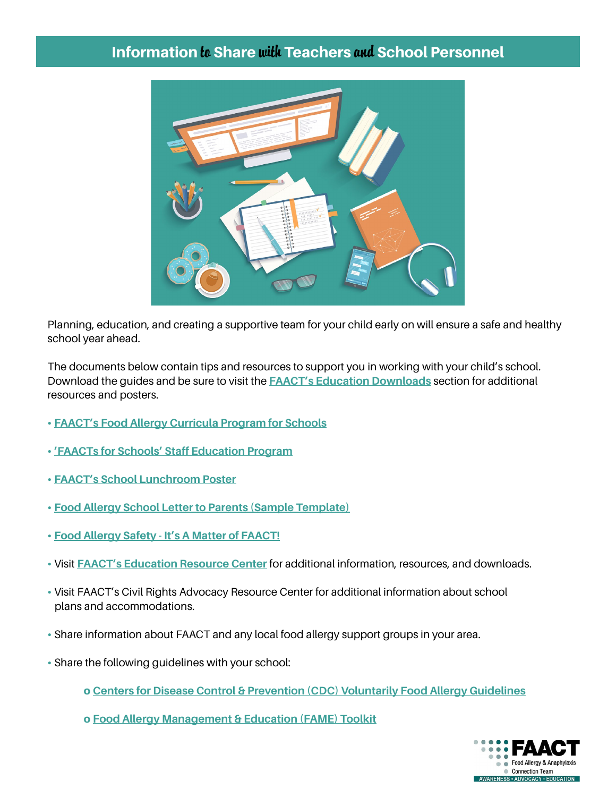## Information to Share with Teachers and School Personnel



Planning, education, and creating a supportive team for your child early on will ensure a safe and healthy school year ahead.

The documents below contain tips and resources to support you in working with your child's school. Download the guides and be sure to visit the **FAACT's Education Downloads** section for additional resources and posters.

- **FAACT's Food Allergy Curricula Program for Schools**
- **'FAACTs for Schools' Staff Education Program**
- **FAACT's School Lunchroom Poster**
- **Food Allergy School Letter to Parents (Sample Template)**
- **Food Allergy Safety It's A Matter of FAACT!**
- Visit **FAACT's Education Resource Center** for additional information, resources, and downloads.
- Visit FAACT's Civil Rights Advocacy Resource Center for additional information about school plans and accommodations.
- Share information about FAACT and any local food allergy support groups in your area.
- Share the following guidelines with your school:

o **Centers for Disease Control & Prevention (CDC) Voluntarily Food Allergy Guidelines**

o **Food Allergy Management & Education (FAME) Toolkit**

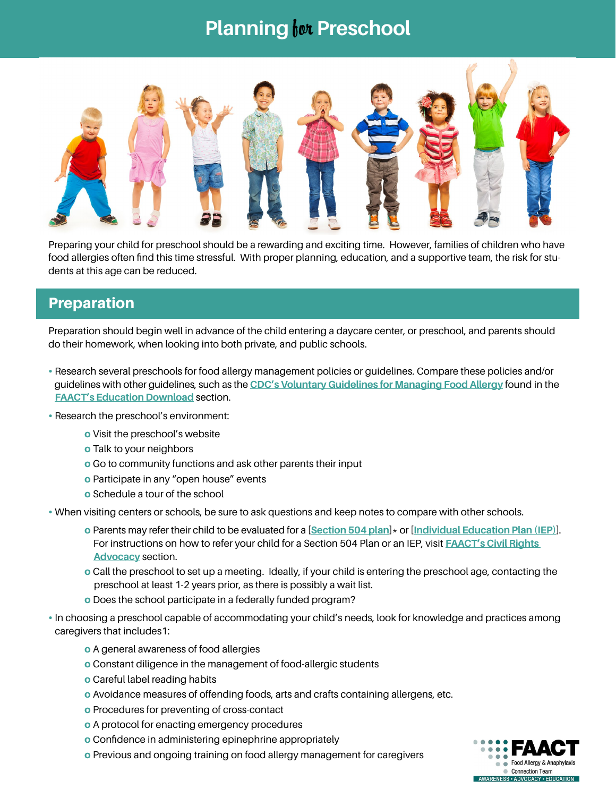## **Planning for Preschool**



Preparing your child for preschool should be a rewarding and exciting time. However, families of children who have food allergies often find this time stressful. With proper planning, education, and a supportive team, the risk for students at this age can be reduced.

#### Preparation

Preparation should begin well in advance of the child entering a daycare center, or preschool, and parents should do their homework, when looking into both private, and public schools.

- Research several preschools for food allergy management policies or guidelines. Compare these policies and/or guidelines with other guidelines, such as the **CDC's Voluntary Guidelines for Managing Food Allergy** found in the **FAACT's Education Download** section.
- Research the preschool's environment:
	- o Visit the preschool's website
	- o Talk to your neighbors
	- o Go to community functions and ask other parents their input
	- o Participate in any "open house" events
	- o Schedule a tour of the school
- When visiting centers or schools, be sure to ask questions and keep notes to compare with other schools.
	- o Parents may refer their child to be evaluated for a [**Section 504 plan**]\* or [**Individual Education Plan (IEP)**]. For instructions on how to refer your child for a Section 504 Plan or an IEP, visit **FAACT's Civil Rights Advocacy** section.
	- o Call the preschool to set up a meeting. Ideally, if your child is entering the preschool age, contacting the preschool at least 1-2 years prior, as there is possibly a wait list.
	- o Does the school participate in a federally funded program?
- In choosing a preschool capable of accommodating your child's needs, look for knowledge and practices among caregivers that includes1:
	- o A general awareness of food allergies
	- o Constant diligence in the management of food-allergic students
	- o Careful label reading habits
	- o Avoidance measures of offending foods, arts and crafts containing allergens, etc.
	- o Procedures for preventing of cross-contact
	- o A protocol for enacting emergency procedures
	- o Confidence in administering epinephrine appropriately
	- o Previous and ongoing training on food allergy management for caregivers

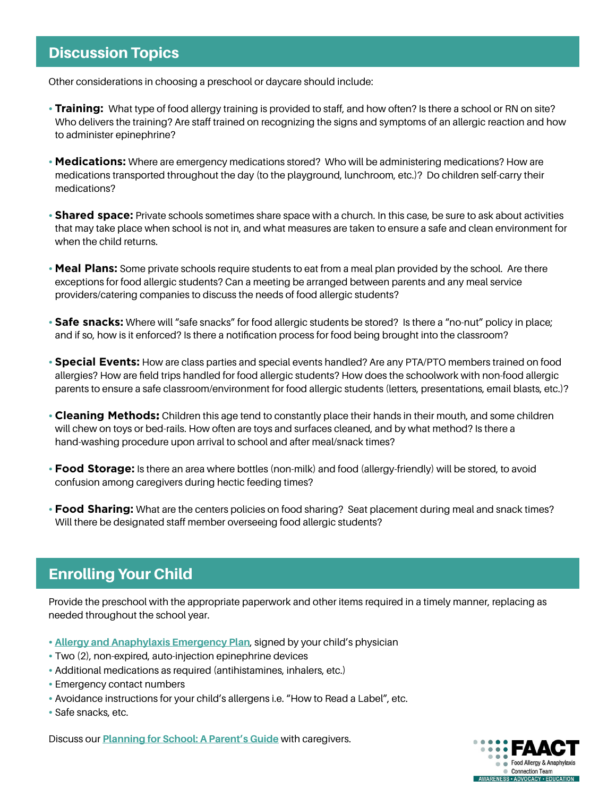### Discussion Topics

Other considerations in choosing a preschool or daycare should include:

- **Training:** What type of food allergy training is provided to staff, and how often? Is there a school or RN on site? Who delivers the training? Are staff trained on recognizing the signs and symptoms of an allergic reaction and how to administer epinephrine?
- **Medications:** Where are emergency medications stored? Who will be administering medications? How are medications transported throughout the day (to the playground, lunchroom, etc.)? Do children self-carry their medications?
- **Shared space:** Private schools sometimes share space with a church. In this case, be sure to ask about activities that may take place when school is not in, and what measures are taken to ensure a safe and clean environment for when the child returns.
- **Meal Plans:** Some private schools require students to eat from a meal plan provided by the school. Are there exceptions for food allergic students? Can a meeting be arranged between parents and any meal service providers/catering companies to discuss the needs of food allergic students?
- **Safe snacks:** Where will "safe snacks" for food allergic students be stored? Is there a "no-nut" policy in place; and if so, how is it enforced? Is there a notification process for food being brought into the classroom?
- **Special Events:** How are class parties and special events handled? Are any PTA/PTO members trained on food allergies? How are field trips handled for food allergic students? How does the schoolwork with non-food allergic parents to ensure a safe classroom/environment for food allergic students (letters, presentations, email blasts, etc.)?
- **Cleaning Methods**: Children this age tend to constantly place their hands in their mouth, and some children will chew on toys or bed-rails. How often are toys and surfaces cleaned, and by what method? Is there a hand-washing procedure upon arrival to school and after meal/snack times?
- **Food Storage:** Is there an area where bottles (non-milk) and food (allergy-friendly) will be stored, to avoid confusion among caregivers during hectic feeding times?
- **Food Sharing:** What are the centers policies on food sharing? Seat placement during meal and snack times? Will there be designated staff member overseeing food allergic students?

## Enrolling Your Child

Provide the preschool with the appropriate paperwork and other items required in a timely manner, replacing as needed throughout the school year.

- **Allergy and Anaphylaxis Emergency Plan**, signed by your child's physician
- Two (2), non-expired, auto-injection epinephrine devices
- Additional medications as required (antihistamines, inhalers, etc.)
- Emergency contact numbers
- Avoidance instructions for your child's allergens i.e. "How to Read a Label", etc.
- Safe snacks, etc.

Discuss our **Planning for School: A Parent's Guide** with caregivers.